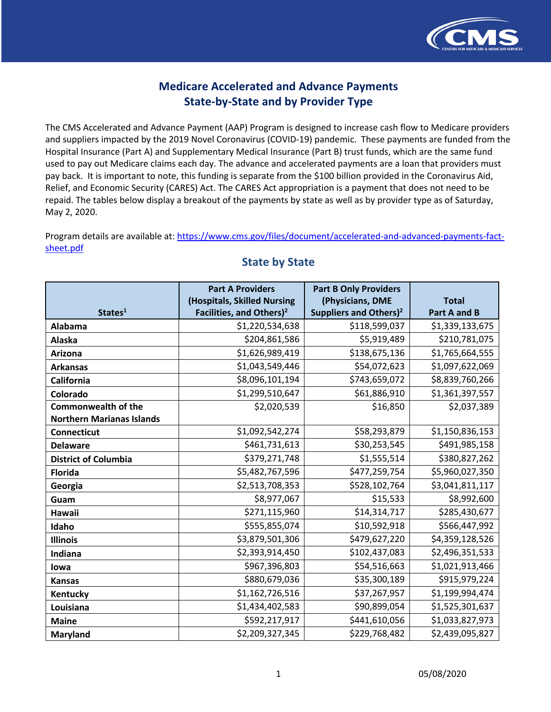

 The CMS Accelerated and Advance Payment (AAP) Program is designed to increase cash flow to Medicare providers and suppliers impacted by the 2019 Novel Coronavirus (COVID-19) pandemic. These payments are funded from the Hospital Insurance (Part A) and Supplementary Medical Insurance (Part B) trust funds, which are the same fund used to pay out Medicare claims each day. The advance and accelerated payments are a loan that providers must pay back. It is important to note, this funding is separate from the \$100 billion provided in the Coronavirus Aid, Relief, and Economic Security (CARES) Act. The CARES Act appropriation is a payment that does not need to be repaid. The tables below display a breakout of the payments by state as well as by provider type as of Saturday, May 2, 2020.

May 2, 2020.<br>Program details are available at: <u><https://www.cms.gov/files/document/accelerated-and-advanced-payments-fact>-</u> sheet.pdf

|                                  | <b>Part A Providers</b>              | <b>Part B Only Providers</b>       |                     |
|----------------------------------|--------------------------------------|------------------------------------|---------------------|
|                                  | (Hospitals, Skilled Nursing          | (Physicians, DME                   | <b>Total</b>        |
| States <sup>1</sup>              | Facilities, and Others) <sup>2</sup> | Suppliers and Others) <sup>2</sup> | <b>Part A and B</b> |
| Alabama                          | \$1,220,534,638                      | \$118,599,037                      | \$1,339,133,675     |
| Alaska                           | \$204,861,586                        | \$5,919,489                        | \$210,781,075       |
| Arizona                          | \$1,626,989,419                      | \$138,675,136                      | \$1,765,664,555     |
| <b>Arkansas</b>                  | \$1,043,549,446                      | \$54,072,623                       | \$1,097,622,069     |
| <b>California</b>                | \$8,096,101,194                      | \$743,659,072                      | \$8,839,760,266     |
| Colorado                         | \$1,299,510,647                      | \$61,886,910                       | \$1,361,397,557     |
| <b>Commonwealth of the</b>       | \$2,020,539                          | \$16,850                           | \$2,037,389         |
| <b>Northern Marianas Islands</b> |                                      |                                    |                     |
| <b>Connecticut</b>               | \$1,092,542,274                      | \$58,293,879                       | \$1,150,836,153     |
| <b>Delaware</b>                  | \$461,731,613                        | \$30,253,545                       | \$491,985,158       |
| <b>District of Columbia</b>      | \$379,271,748                        | \$1,555,514                        | \$380,827,262       |
| <b>Florida</b>                   | \$5,482,767,596                      | \$477,259,754                      | \$5,960,027,350     |
| Georgia                          | \$2,513,708,353                      | \$528,102,764                      | \$3,041,811,117     |
| Guam                             | \$8,977,067                          | \$15,533                           | \$8,992,600         |
| Hawaii                           | \$271,115,960                        | \$14,314,717                       | \$285,430,677       |
| Idaho                            | \$555,855,074                        | \$10,592,918                       | \$566,447,992       |
| <b>Illinois</b>                  | \$3,879,501,306                      | \$479,627,220                      | \$4,359,128,526     |
| Indiana                          | \$2,393,914,450                      | \$102,437,083                      | \$2,496,351,533     |
| lowa                             | \$967,396,803                        | \$54,516,663                       | \$1,021,913,466     |
| <b>Kansas</b>                    | \$880,679,036                        | \$35,300,189                       | \$915,979,224       |
| Kentucky                         | \$1,162,726,516                      | \$37,267,957                       | \$1,199,994,474     |
| Louisiana                        | \$1,434,402,583                      | \$90,899,054                       | \$1,525,301,637     |
| <b>Maine</b>                     | \$592,217,917                        | \$441,610,056                      | \$1,033,827,973     |
| Maryland                         | \$2,209,327,345                      | \$229,768,482                      | \$2,439,095,827     |

### **State by State**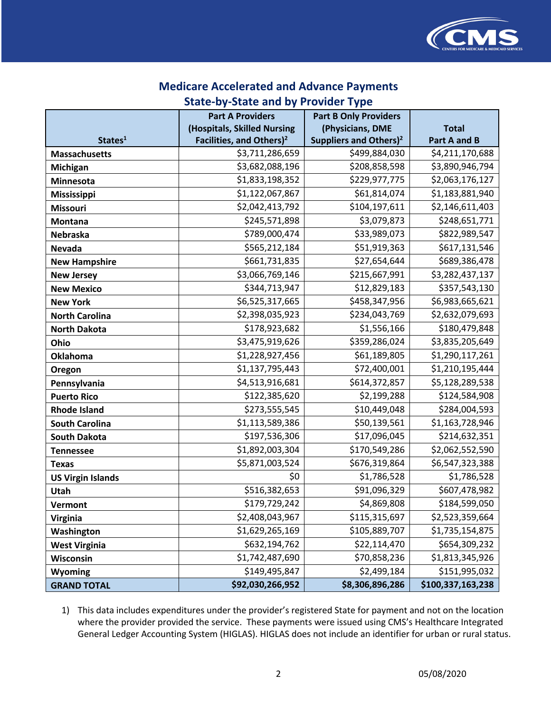

#### **Medicare Accelerated and Advance Payments**

## **State-by-State and by Provider Type**

|                          | <b>Part A Providers</b>              | <b>Part B Only Providers</b>       |                     |
|--------------------------|--------------------------------------|------------------------------------|---------------------|
|                          | (Hospitals, Skilled Nursing          | (Physicians, DME                   | <b>Total</b>        |
| States <sup>1</sup>      | Facilities, and Others) <sup>2</sup> | Suppliers and Others) <sup>2</sup> | <b>Part A and B</b> |
| <b>Massachusetts</b>     | \$3,711,286,659                      | \$499,884,030                      | \$4,211,170,688     |
| <b>Michigan</b>          | \$3,682,088,196                      | \$208,858,598                      | \$3,890,946,794     |
| Minnesota                | \$1,833,198,352                      | \$229,977,775                      | \$2,063,176,127     |
| Mississippi              | \$1,122,067,867                      | \$61,814,074                       | \$1,183,881,940     |
| <b>Missouri</b>          | \$2,042,413,792                      | \$104,197,611                      | \$2,146,611,403     |
| <b>Montana</b>           | \$245,571,898                        | \$3,079,873                        | \$248,651,771       |
| Nebraska                 | \$789,000,474                        | \$33,989,073                       | \$822,989,547       |
| <b>Nevada</b>            | \$565,212,184                        | \$51,919,363                       | \$617,131,546       |
| <b>New Hampshire</b>     | \$661,731,835                        | \$27,654,644                       | \$689,386,478       |
| <b>New Jersey</b>        | \$3,066,769,146                      | \$215,667,991                      | \$3,282,437,137     |
| <b>New Mexico</b>        | \$344,713,947                        | \$12,829,183                       | \$357,543,130       |
| <b>New York</b>          | \$6,525,317,665                      | \$458,347,956                      | \$6,983,665,621     |
| <b>North Carolina</b>    | \$2,398,035,923                      | \$234,043,769                      | \$2,632,079,693     |
| <b>North Dakota</b>      | \$178,923,682                        | \$1,556,166                        | \$180,479,848       |
| Ohio                     | \$3,475,919,626                      | \$359,286,024                      | \$3,835,205,649     |
| <b>Oklahoma</b>          | \$1,228,927,456                      | \$61,189,805                       | \$1,290,117,261     |
| Oregon                   | \$1,137,795,443                      | \$72,400,001                       | \$1,210,195,444     |
| Pennsylvania             | \$4,513,916,681                      | \$614,372,857                      | \$5,128,289,538     |
| <b>Puerto Rico</b>       | \$122,385,620                        | \$2,199,288                        | \$124,584,908       |
| <b>Rhode Island</b>      | \$273,555,545                        | \$10,449,048                       | \$284,004,593       |
| <b>South Carolina</b>    | \$1,113,589,386                      | \$50,139,561                       | \$1,163,728,946     |
| <b>South Dakota</b>      | \$197,536,306                        | \$17,096,045                       | \$214,632,351       |
| <b>Tennessee</b>         | \$1,892,003,304                      | \$170,549,286                      | \$2,062,552,590     |
| <b>Texas</b>             | \$5,871,003,524                      | \$676,319,864                      | \$6,547,323,388     |
| <b>US Virgin Islands</b> | \$0                                  | \$1,786,528                        | \$1,786,528         |
| Utah                     | \$516,382,653                        | \$91,096,329                       | \$607,478,982       |
| Vermont                  | \$179,729,242                        | \$4,869,808                        | \$184,599,050       |
| <b>Virginia</b>          | \$2,408,043,967                      | \$115,315,697                      | \$2,523,359,664     |
| Washington               | \$1,629,265,169                      | \$105,889,707                      | \$1,735,154,875     |
| <b>West Virginia</b>     | \$632,194,762                        | \$22,114,470                       | \$654,309,232       |
| Wisconsin                | \$1,742,487,690                      | \$70,858,236                       | \$1,813,345,926     |
| Wyoming                  | \$149,495,847                        | \$2,499,184                        | \$151,995,032       |
| <b>GRAND TOTAL</b>       | \$92,030,266,952                     | \$8,306,896,286                    | \$100,337,163,238   |

 where the provider provided the service. These payments were issued using CMS's Healthcare Integrated General Ledger Accounting System (HIGLAS). HIGLAS does not include an identifier for urban or rural status. 1) This data includes expenditures under the provider's registered State for payment and not on the location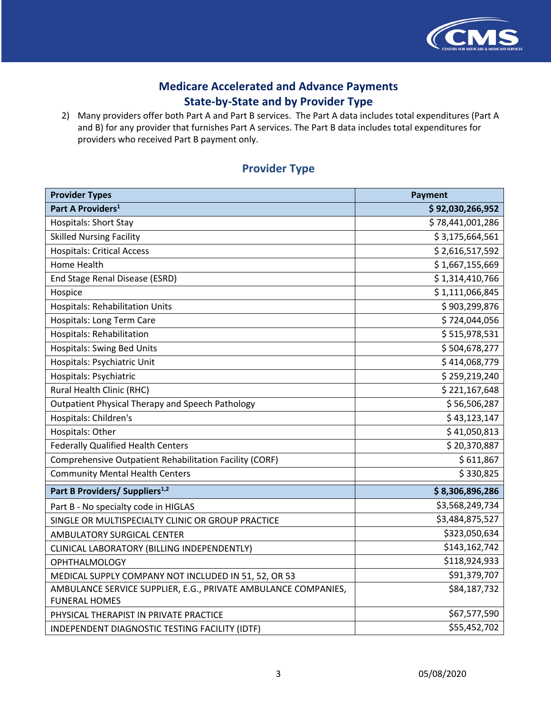

 2) Many providers offer both Part A and Part B services. The Part A data includes total expenditures (Part A and B) for any provider that furnishes Part A services. The Part B data includes total expenditures for providers who received Part B payment only.

#### **Provider Type**

| <b>Provider Types</b>                                                                  | <b>Payment</b>   |
|----------------------------------------------------------------------------------------|------------------|
| Part A Providers <sup>1</sup>                                                          | \$92,030,266,952 |
| <b>Hospitals: Short Stay</b>                                                           | \$78,441,001,286 |
| <b>Skilled Nursing Facility</b>                                                        | \$3,175,664,561  |
| <b>Hospitals: Critical Access</b>                                                      | \$2,616,517,592  |
| <b>Home Health</b>                                                                     | \$1,667,155,669  |
| End Stage Renal Disease (ESRD)                                                         | \$1,314,410,766  |
| Hospice                                                                                | \$1,111,066,845  |
| <b>Hospitals: Rehabilitation Units</b>                                                 | \$903,299,876    |
| Hospitals: Long Term Care                                                              | \$724,044,056    |
| <b>Hospitals: Rehabilitation</b>                                                       | \$515,978,531    |
| <b>Hospitals: Swing Bed Units</b>                                                      | \$504,678,277    |
| Hospitals: Psychiatric Unit                                                            | \$414,068,779    |
| Hospitals: Psychiatric                                                                 | \$259,219,240    |
| Rural Health Clinic (RHC)                                                              | \$221,167,648    |
| <b>Outpatient Physical Therapy and Speech Pathology</b>                                | \$56,506,287     |
| Hospitals: Children's                                                                  | \$43,123,147     |
| Hospitals: Other                                                                       | \$41,050,813     |
| <b>Federally Qualified Health Centers</b>                                              | \$20,370,887     |
| <b>Comprehensive Outpatient Rehabilitation Facility (CORF)</b>                         | \$611,867        |
| <b>Community Mental Health Centers</b>                                                 | \$330,825        |
| Part B Providers/ Suppliers <sup>1,2</sup>                                             | \$8,306,896,286  |
| Part B - No specialty code in HIGLAS                                                   | \$3,568,249,734  |
| SINGLE OR MULTISPECIALTY CLINIC OR GROUP PRACTICE                                      | \$3,484,875,527  |
| AMBULATORY SURGICAL CENTER                                                             | \$323,050,634    |
| CLINICAL LABORATORY (BILLING INDEPENDENTLY)                                            | \$143,162,742    |
| <b>OPHTHALMOLOGY</b>                                                                   | \$118,924,933    |
| MEDICAL SUPPLY COMPANY NOT INCLUDED IN 51, 52, OR 53                                   | \$91,379,707     |
| AMBULANCE SERVICE SUPPLIER, E.G., PRIVATE AMBULANCE COMPANIES,<br><b>FUNERAL HOMES</b> | \$84,187,732     |
| PHYSICAL THERAPIST IN PRIVATE PRACTICE                                                 | \$67,577,590     |
| INDEPENDENT DIAGNOSTIC TESTING FACILITY (IDTF)                                         | \$55,452,702     |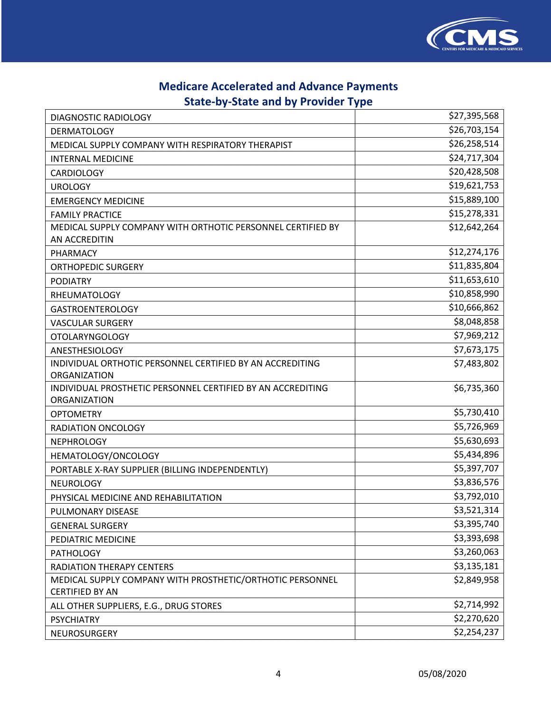

## **Medicare Accelerated and Advance Payments**

# **State-by-State and by Provider Type**

| DIAGNOSTIC RADIOLOGY                                                                | \$27,395,568 |
|-------------------------------------------------------------------------------------|--------------|
| <b>DERMATOLOGY</b>                                                                  | \$26,703,154 |
| MEDICAL SUPPLY COMPANY WITH RESPIRATORY THERAPIST                                   | \$26,258,514 |
| <b>INTERNAL MEDICINE</b>                                                            | \$24,717,304 |
| <b>CARDIOLOGY</b>                                                                   | \$20,428,508 |
| <b>UROLOGY</b>                                                                      | \$19,621,753 |
| <b>EMERGENCY MEDICINE</b>                                                           | \$15,889,100 |
| <b>FAMILY PRACTICE</b>                                                              | \$15,278,331 |
| MEDICAL SUPPLY COMPANY WITH ORTHOTIC PERSONNEL CERTIFIED BY                         | \$12,642,264 |
| AN ACCREDITIN                                                                       |              |
| PHARMACY                                                                            | \$12,274,176 |
| <b>ORTHOPEDIC SURGERY</b>                                                           | \$11,835,804 |
| <b>PODIATRY</b>                                                                     | \$11,653,610 |
| <b>RHEUMATOLOGY</b>                                                                 | \$10,858,990 |
| <b>GASTROENTEROLOGY</b>                                                             | \$10,666,862 |
| <b>VASCULAR SURGERY</b>                                                             | \$8,048,858  |
| <b>OTOLARYNGOLOGY</b>                                                               | \$7,969,212  |
| <b>ANESTHESIOLOGY</b>                                                               | \$7,673,175  |
| INDIVIDUAL ORTHOTIC PERSONNEL CERTIFIED BY AN ACCREDITING                           | \$7,483,802  |
| ORGANIZATION                                                                        |              |
| INDIVIDUAL PROSTHETIC PERSONNEL CERTIFIED BY AN ACCREDITING                         | \$6,735,360  |
| ORGANIZATION                                                                        |              |
| <b>OPTOMETRY</b>                                                                    | \$5,730,410  |
| RADIATION ONCOLOGY                                                                  | \$5,726,969  |
| <b>NEPHROLOGY</b>                                                                   | \$5,630,693  |
| HEMATOLOGY/ONCOLOGY                                                                 | \$5,434,896  |
| PORTABLE X-RAY SUPPLIER (BILLING INDEPENDENTLY)                                     | \$5,397,707  |
| <b>NEUROLOGY</b>                                                                    | \$3,836,576  |
| PHYSICAL MEDICINE AND REHABILITATION                                                | \$3,792,010  |
| PULMONARY DISEASE                                                                   | \$3,521,314  |
| <b>GENERAL SURGERY</b>                                                              | \$3,395,740  |
| PEDIATRIC MEDICINE                                                                  | \$3,393,698  |
| <b>PATHOLOGY</b>                                                                    | \$3,260,063  |
| <b>RADIATION THERAPY CENTERS</b>                                                    | \$3,135,181  |
| MEDICAL SUPPLY COMPANY WITH PROSTHETIC/ORTHOTIC PERSONNEL<br><b>CERTIFIED BY AN</b> | \$2,849,958  |
| ALL OTHER SUPPLIERS, E.G., DRUG STORES                                              | \$2,714,992  |
| <b>PSYCHIATRY</b>                                                                   | \$2,270,620  |
| NEUROSURGERY                                                                        | \$2,254,237  |
|                                                                                     |              |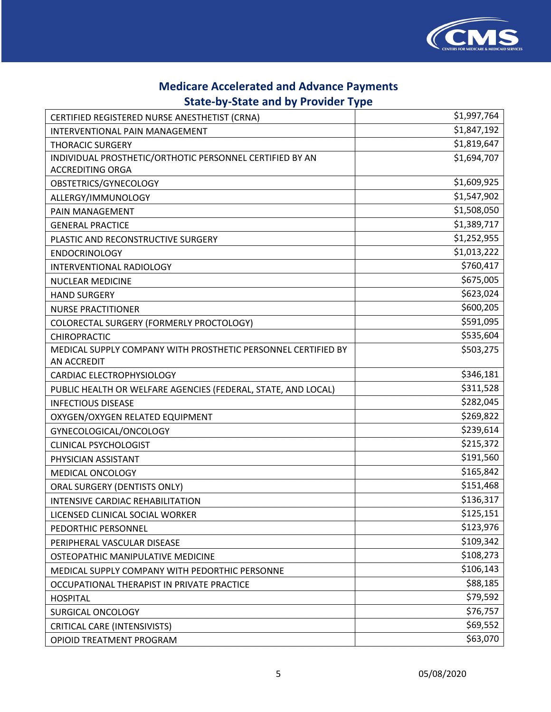

| CERTIFIED REGISTERED NURSE ANESTHETIST (CRNA)                 | \$1,997,764 |
|---------------------------------------------------------------|-------------|
| INTERVENTIONAL PAIN MANAGEMENT                                | \$1,847,192 |
| <b>THORACIC SURGERY</b>                                       | \$1,819,647 |
| INDIVIDUAL PROSTHETIC/ORTHOTIC PERSONNEL CERTIFIED BY AN      | \$1,694,707 |
| <b>ACCREDITING ORGA</b>                                       |             |
| OBSTETRICS/GYNECOLOGY                                         | \$1,609,925 |
| ALLERGY/IMMUNOLOGY                                            | \$1,547,902 |
| PAIN MANAGEMENT                                               | \$1,508,050 |
| <b>GENERAL PRACTICE</b>                                       | \$1,389,717 |
| PLASTIC AND RECONSTRUCTIVE SURGERY                            | \$1,252,955 |
| <b>ENDOCRINOLOGY</b>                                          | \$1,013,222 |
| INTERVENTIONAL RADIOLOGY                                      | \$760,417   |
| NUCLEAR MEDICINE                                              | \$675,005   |
| <b>HAND SURGERY</b>                                           | \$623,024   |
| <b>NURSE PRACTITIONER</b>                                     | \$600,205   |
| COLORECTAL SURGERY (FORMERLY PROCTOLOGY)                      | \$591,095   |
| <b>CHIROPRACTIC</b>                                           | \$535,604   |
| MEDICAL SUPPLY COMPANY WITH PROSTHETIC PERSONNEL CERTIFIED BY | \$503,275   |
| AN ACCREDIT                                                   |             |
| CARDIAC ELECTROPHYSIOLOGY                                     | \$346,181   |
| PUBLIC HEALTH OR WELFARE AGENCIES (FEDERAL, STATE, AND LOCAL) | \$311,528   |
| <b>INFECTIOUS DISEASE</b>                                     | \$282,045   |
| OXYGEN/OXYGEN RELATED EQUIPMENT                               | \$269,822   |
| GYNECOLOGICAL/ONCOLOGY                                        | \$239,614   |
| <b>CLINICAL PSYCHOLOGIST</b>                                  | \$215,372   |
| PHYSICIAN ASSISTANT                                           | \$191,560   |
| MEDICAL ONCOLOGY                                              | \$165,842   |
| ORAL SURGERY (DENTISTS ONLY)                                  | \$151,468   |
| INTENSIVE CARDIAC REHABILITATION                              | \$136,317   |
| LICENSED CLINICAL SOCIAL WORKER                               | \$125,151   |
| PEDORTHIC PERSONNEL                                           | \$123,976   |
| PERIPHERAL VASCULAR DISEASE                                   | \$109,342   |
| OSTEOPATHIC MANIPULATIVE MEDICINE                             | \$108,273   |
| MEDICAL SUPPLY COMPANY WITH PEDORTHIC PERSONNE                | \$106,143   |
| OCCUPATIONAL THERAPIST IN PRIVATE PRACTICE                    | \$88,185    |
| <b>HOSPITAL</b>                                               | \$79,592    |
| SURGICAL ONCOLOGY                                             | \$76,757    |
| <b>CRITICAL CARE (INTENSIVISTS)</b>                           | \$69,552    |
| OPIOID TREATMENT PROGRAM                                      | \$63,070    |